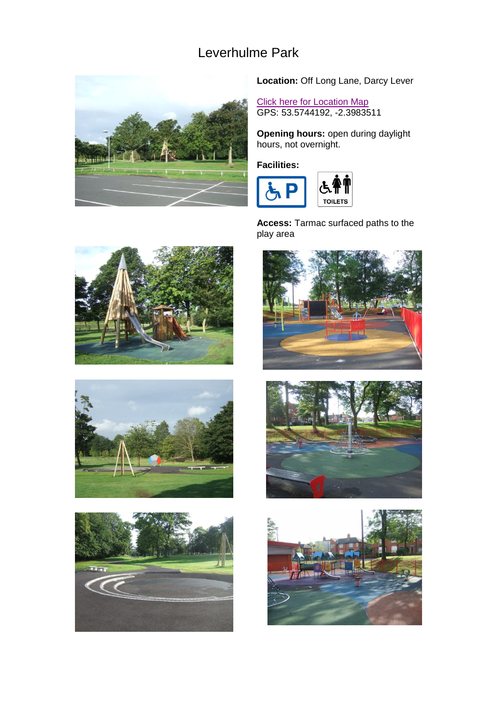## Leverhulme Park



**Location:** Off Long Lane, Darcy Lever

**[Click here for Location Map](http://maps.google.co.uk/maps?f=q&source=s_q&hl=en&geocode=&q=Darcy+Lever,+Long+Lane%2FLeverhulme+Park+(N-bound),+Bolton+BL2+6,+United+Kingdom&sll=53.574123,-2.395535&sspn=0.004644,0.009624&ie=UTF8&hq=&hnear=Darcy+Lever,+Long+Lane%2FLeverhulme+Park+(N-boun)** GPS: 53.5744192, -2.3983511

**Opening hours:** open during daylight hours, not overnight.

**Facilities:** 



**Access:** Tarmac surfaced paths to the play area